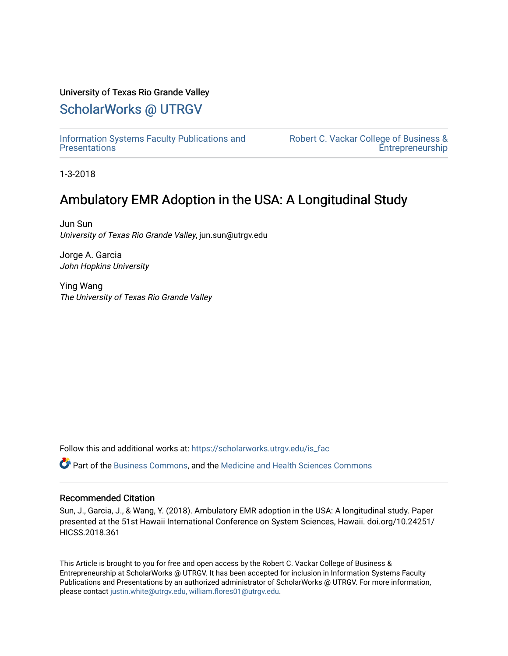## University of Texas Rio Grande Valley

# [ScholarWorks @ UTRGV](https://scholarworks.utrgv.edu/)

[Information Systems Faculty Publications and](https://scholarworks.utrgv.edu/is_fac) **Presentations** 

[Robert C. Vackar College of Business &](https://scholarworks.utrgv.edu/rcvcbe)  [Entrepreneurship](https://scholarworks.utrgv.edu/rcvcbe) 

1-3-2018

# Ambulatory EMR Adoption in the USA: A Longitudinal Study

Jun Sun University of Texas Rio Grande Valley, jun.sun@utrgv.edu

Jorge A. Garcia John Hopkins University

Ying Wang The University of Texas Rio Grande Valley

Follow this and additional works at: [https://scholarworks.utrgv.edu/is\\_fac](https://scholarworks.utrgv.edu/is_fac?utm_source=scholarworks.utrgv.edu%2Fis_fac%2F80&utm_medium=PDF&utm_campaign=PDFCoverPages)

Part of the [Business Commons](http://network.bepress.com/hgg/discipline/622?utm_source=scholarworks.utrgv.edu%2Fis_fac%2F80&utm_medium=PDF&utm_campaign=PDFCoverPages), and the [Medicine and Health Sciences Commons](http://network.bepress.com/hgg/discipline/648?utm_source=scholarworks.utrgv.edu%2Fis_fac%2F80&utm_medium=PDF&utm_campaign=PDFCoverPages) 

### Recommended Citation

Sun, J., Garcia, J., & Wang, Y. (2018). Ambulatory EMR adoption in the USA: A longitudinal study. Paper presented at the 51st Hawaii International Conference on System Sciences, Hawaii. doi.org/10.24251/ HICSS.2018.361

This Article is brought to you for free and open access by the Robert C. Vackar College of Business & Entrepreneurship at ScholarWorks @ UTRGV. It has been accepted for inclusion in Information Systems Faculty Publications and Presentations by an authorized administrator of ScholarWorks @ UTRGV. For more information, please contact [justin.white@utrgv.edu, william.flores01@utrgv.edu](mailto:justin.white@utrgv.edu,%20william.flores01@utrgv.edu).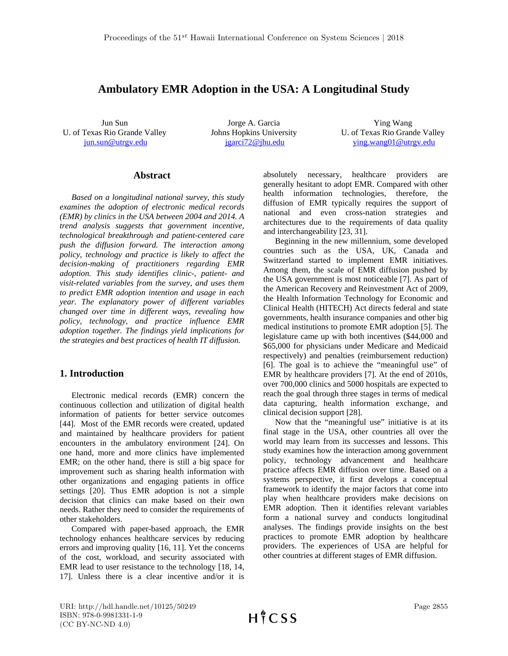## **Ambulatory EMR Adoption in the USA: A Longitudinal Study**

Jun Sun U. of Texas Rio Grande Valley [jun.sun@utrgv.edu](mailto:jun.sun@utrgv.edu)

Jorge A. Garcia Johns Hopkins University [jgarci72@jhu.edu](mailto:jgarci72@jhu.edu)

Ying Wang U. of Texas Rio Grande Valley [ying.wang01@utrgv.edu](mailto:ying.wang01@utrgv.edu)

#### **Abstract**

*Based on a longitudinal national survey, this study examines the adoption of electronic medical records (EMR) by clinics in the USA between 2004 and 2014. A trend analysis suggests that government incentive, technological breakthrough and patient-centered care push the diffusion forward. The interaction among policy, technology and practice is likely to affect the decision-making of practitioners regarding EMR adoption. This study identifies clinic-, patient- and visit-related variables from the survey, and uses them to predict EMR adoption intention and usage in each year. The explanatory power of different variables changed over time in different ways, revealing how policy, technology, and practice influence EMR adoption together. The findings yield implications for the strategies and best practices of health IT diffusion.* 

#### **1. Introduction**

Electronic medical records (EMR) concern the continuous collection and utilization of digital health information of patients for better service outcomes [44]. Most of the EMR records were created, updated and maintained by healthcare providers for patient encounters in the ambulatory environment [24]. On one hand, more and more clinics have implemented EMR; on the other hand, there is still a big space for improvement such as sharing health information with other organizations and engaging patients in office settings [20]. Thus EMR adoption is not a simple decision that clinics can make based on their own needs. Rather they need to consider the requirements of other stakeholders.

Compared with paper-based approach, the EMR technology enhances healthcare services by reducing errors and improving quality [16, 11]. Yet the concerns of the cost, workload, and security associated with EMR lead to user resistance to the technology [18, 14, 17]. Unless there is a clear incentive and/or it is

absolutely necessary, healthcare providers are generally hesitant to adopt EMR. Compared with other health information technologies, therefore, the diffusion of EMR typically requires the support of national and even cross-nation strategies and architectures due to the requirements of data quality and interchangeability [23, 31].

Beginning in the new millennium, some developed countries such as the USA, UK, Canada and Switzerland started to implement EMR initiatives. Among them, the scale of EMR diffusion pushed by the USA government is most noticeable [7]. As part of the American Recovery and Reinvestment Act of 2009, the Health Information Technology for Economic and Clinical Health (HITECH) Act directs federal and state governments, health insurance companies and other big medical institutions to promote EMR adoption [5]. The legislature came up with both incentives (\$44,000 and \$65,000 for physicians under Medicare and Medicaid respectively) and penalties (reimbursement reduction) [6]. The goal is to achieve the "meaningful use" of EMR by healthcare providers [7]. At the end of 2010s, over 700,000 clinics and 5000 hospitals are expected to reach the goal through three stages in terms of medical data capturing, health information exchange, and clinical decision support [28].

Now that the "meaningful use" initiative is at its final stage in the USA, other countries all over the world may learn from its successes and lessons. This study examines how the interaction among government policy, technology advancement and healthcare practice affects EMR diffusion over time. Based on a systems perspective, it first develops a conceptual framework to identify the major factors that come into play when healthcare providers make decisions on EMR adoption. Then it identifies relevant variables form a national survey and conducts longitudinal analyses. The findings provide insights on the best practices to promote EMR adoption by healthcare providers. The experiences of USA are helpful for other countries at different stages of EMR diffusion.

URI: http://hdl.handle.net/10125/50249 ISBN: 978-0-9981331-1-9 (CC BY-NC-ND 4.0)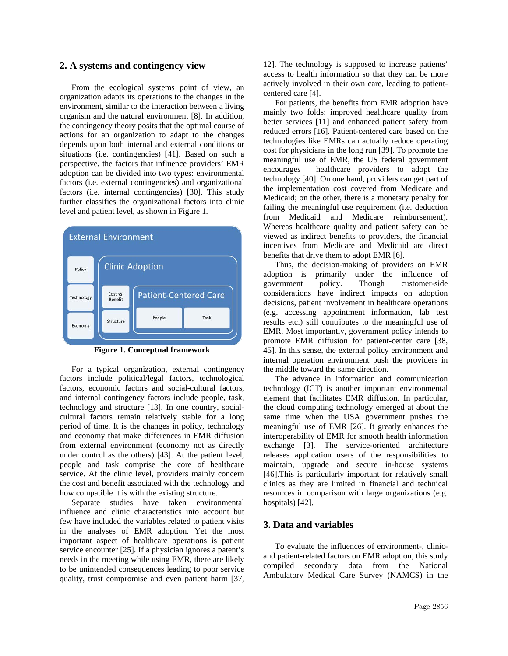#### **2. A systems and contingency view**

From the ecological systems point of view, an organization adapts its operations to the changes in the environment, similar to the interaction between a living organism and the natural environment [8]. In addition, the contingency theory posits that the optimal course of actions for an organization to adapt to the changes depends upon both internal and external conditions or situations (i.e. contingencies) [41]. Based on such a perspective, the factors that influence providers' EMR adoption can be divided into two types: environmental factors (i.e. external contingencies) and organizational factors (i.e. internal contingencies) [30]. This study further classifies the organizational factors into clinic level and patient level, as shown in Figure 1.



**Figure 1. Conceptual framework**

For a typical organization, external contingency factors include political/legal factors, technological factors, economic factors and social-cultural factors, and internal contingency factors include people, task, technology and structure [13]. In one country, socialcultural factors remain relatively stable for a long period of time. It is the changes in policy, technology and economy that make differences in EMR diffusion from external environment (economy not as directly under control as the others) [43]. At the patient level, people and task comprise the core of healthcare service. At the clinic level, providers mainly concern the cost and benefit associated with the technology and how compatible it is with the existing structure.

Separate studies have taken environmental influence and clinic characteristics into account but few have included the variables related to patient visits in the analyses of EMR adoption. Yet the most important aspect of healthcare operations is patient service encounter [25]. If a physician ignores a patent's needs in the meeting while using EMR, there are likely to be unintended consequences leading to poor service quality, trust compromise and even patient harm [37,

12]. The technology is supposed to increase patients' access to health information so that they can be more actively involved in their own care, leading to patientcentered care [4].

For patients, the benefits from EMR adoption have mainly two folds: improved healthcare quality from better services [11] and enhanced patient safety from reduced errors [16]. Patient-centered care based on the technologies like EMRs can actually reduce operating cost for physicians in the long run [39]. To promote the meaningful use of EMR, the US federal government encourages healthcare providers to adopt the technology [40]. On one hand, providers can get part of the implementation cost covered from Medicare and Medicaid; on the other, there is a monetary penalty for failing the meaningful use requirement (i.e. deduction from Medicaid and Medicare reimbursement). Whereas healthcare quality and patient safety can be viewed as indirect benefits to providers, the financial incentives from Medicare and Medicaid are direct benefits that drive them to adopt EMR [6].

Thus, the decision-making of providers on EMR adoption is primarily under the influence of government policy. Though customer-side considerations have indirect impacts on adoption decisions, patient involvement in healthcare operations (e.g. accessing appointment information, lab test results etc.) still contributes to the meaningful use of EMR. Most importantly, government policy intends to promote EMR diffusion for patient-center care [38, 45]. In this sense, the external policy environment and internal operation environment push the providers in the middle toward the same direction.

The advance in information and communication technology (ICT) is another important environmental element that facilitates EMR diffusion. In particular, the cloud computing technology emerged at about the same time when the USA government pushes the meaningful use of EMR [26]. It greatly enhances the interoperability of EMR for smooth health information exchange [3]. The service-oriented architecture releases application users of the responsibilities to maintain, upgrade and secure in-house systems [46].This is particularly important for relatively small clinics as they are limited in financial and technical resources in comparison with large organizations (e.g. hospitals) [42].

#### **3. Data and variables**

To evaluate the influences of environment-, clinicand patient-related factors on EMR adoption, this study compiled secondary data from the National Ambulatory Medical Care Survey (NAMCS) in the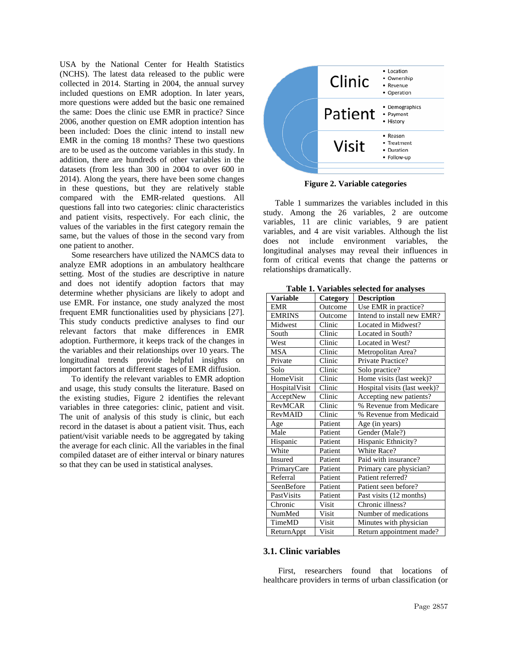USA by the National Center for Health Statistics (NCHS). The latest data released to the public were collected in 2014. Starting in 2004, the annual survey included questions on EMR adoption. In later years, more questions were added but the basic one remained the same: Does the clinic use EMR in practice? Since 2006, another question on EMR adoption intention has been included: Does the clinic intend to install new EMR in the coming 18 months? These two questions are to be used as the outcome variables in this study. In addition, there are hundreds of other variables in the datasets (from less than 300 in 2004 to over 600 in 2014). Along the years, there have been some changes in these questions, but they are relatively stable compared with the EMR-related questions. All questions fall into two categories: clinic characteristics and patient visits, respectively. For each clinic, the values of the variables in the first category remain the same, but the values of those in the second vary from one patient to another.

Some researchers have utilized the NAMCS data to analyze EMR adoptions in an ambulatory healthcare setting. Most of the studies are descriptive in nature and does not identify adoption factors that may determine whether physicians are likely to adopt and use EMR. For instance, one study analyzed the most frequent EMR functionalities used by physicians [27]. This study conducts predictive analyses to find our relevant factors that make differences in EMR adoption. Furthermore, it keeps track of the changes in the variables and their relationships over 10 years. The longitudinal trends provide helpful insights on important factors at different stages of EMR diffusion.

To identify the relevant variables to EMR adoption and usage, this study consults the literature. Based on the existing studies, Figure 2 identifies the relevant variables in three categories: clinic, patient and visit. The unit of analysis of this study is clinic, but each record in the dataset is about a patient visit. Thus, each patient/visit variable needs to be aggregated by taking the average for each clinic. All the variables in the final compiled dataset are of either interval or binary natures so that they can be used in statistical analyses.



**Figure 2. Variable categories**

Table 1 summarizes the variables included in this study. Among the 26 variables, 2 are outcome variables, 11 are clinic variables, 9 are patient variables, and 4 are visit variables. Although the list does not include environment variables, the longitudinal analyses may reveal their influences in form of critical events that change the patterns or relationships dramatically.

| <b>Variable</b> | Category | <b>Description</b>           |  |  |  |  |
|-----------------|----------|------------------------------|--|--|--|--|
| <b>EMR</b>      | Outcome  | Use EMR in practice?         |  |  |  |  |
| <b>EMRINS</b>   | Outcome  | Intend to install new EMR?   |  |  |  |  |
| Midwest         | Clinic   | Located in Midwest?          |  |  |  |  |
| South           | Clinic   | Located in South?            |  |  |  |  |
| West            | Clinic   | Located in West?             |  |  |  |  |
| <b>MSA</b>      | Clinic   | Metropolitan Area?           |  |  |  |  |
| Private         | Clinic   | Private Practice?            |  |  |  |  |
| Solo            | Clinic   | Solo practice?               |  |  |  |  |
| HomeVisit       | Clinic   | Home visits (last week)?     |  |  |  |  |
| HospitalVisit   | Clinic   | Hospital visits (last week)? |  |  |  |  |
| AcceptNew       | Clinic   | Accepting new patients?      |  |  |  |  |
| RevMCAR         | Clinic   | % Revenue from Medicare      |  |  |  |  |
| RevMAID         | Clinic   | % Revenue from Medicaid      |  |  |  |  |
| Age             | Patient  | Age (in years)               |  |  |  |  |
| Male            | Patient  | Gender (Male?)               |  |  |  |  |
| Hispanic        | Patient  | Hispanic Ethnicity?          |  |  |  |  |
| White           | Patient  | White Race?                  |  |  |  |  |
| <b>Insured</b>  | Patient  | Paid with insurance?         |  |  |  |  |
| PrimaryCare     | Patient  | Primary care physician?      |  |  |  |  |
| Referral        | Patient  | Patient referred?            |  |  |  |  |
| SeenBefore      | Patient  | Patient seen before?         |  |  |  |  |
| PastVisits      | Patient  | Past visits (12 months)      |  |  |  |  |
| Chronic         | Visit    | Chronic illness?             |  |  |  |  |
| NumMed          | Visit    | Number of medications        |  |  |  |  |
| TimeMD          | Visit    | Minutes with physician       |  |  |  |  |
| ReturnAppt      | Visit    | Return appointment made?     |  |  |  |  |

**Table 1. Variables selected for analyses**

#### **3.1. Clinic variables**

First, researchers found that locations of healthcare providers in terms of urban classification (or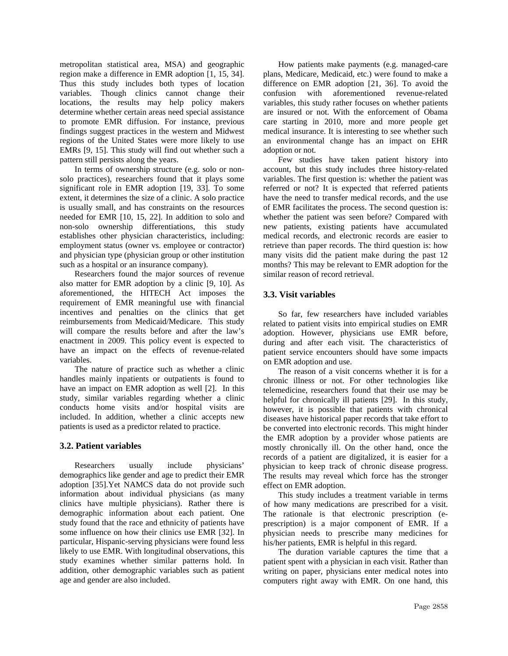metropolitan statistical area, MSA) and geographic region make a difference in EMR adoption [1, 15, 34]. Thus this study includes both types of location variables. Though clinics cannot change their locations, the results may help policy makers determine whether certain areas need special assistance to promote EMR diffusion. For instance, previous findings suggest practices in the western and Midwest regions of the United States were more likely to use EMRs [9, 15]. This study will find out whether such a pattern still persists along the years.

In terms of ownership structure (e.g. solo or nonsolo practices), researchers found that it plays some significant role in EMR adoption [19, 33]. To some extent, it determines the size of a clinic. A solo practice is usually small, and has constraints on the resources needed for EMR [10, 15, 22]. In addition to solo and non-solo ownership differentiations, this study establishes other physician characteristics, including: employment status (owner vs. employee or contractor) and physician type (physician group or other institution such as a hospital or an insurance company).

Researchers found the major sources of revenue also matter for EMR adoption by a clinic [9, 10]. As aforementioned, the HITECH Act imposes the requirement of EMR meaningful use with financial incentives and penalties on the clinics that get reimbursements from Medicaid/Medicare. This study will compare the results before and after the law's enactment in 2009. This policy event is expected to have an impact on the effects of revenue-related variables.

The nature of practice such as whether a clinic handles mainly inpatients or outpatients is found to have an impact on EMR adoption as well [2]. In this study, similar variables regarding whether a clinic conducts home visits and/or hospital visits are included. In addition, whether a clinic accepts new patients is used as a predictor related to practice.

#### **3.2. Patient variables**

Researchers usually include physicians' demographics like gender and age to predict their EMR adoption [35].Yet NAMCS data do not provide such information about individual physicians (as many clinics have multiple physicians). Rather there is demographic information about each patient. One study found that the race and ethnicity of patients have some influence on how their clinics use EMR [32]. In particular, Hispanic-serving physicians were found less likely to use EMR. With longitudinal observations, this study examines whether similar patterns hold. In addition, other demographic variables such as patient age and gender are also included.

How patients make payments (e.g. managed-care plans, Medicare, Medicaid, etc.) were found to make a difference on EMR adoption [21, 36]. To avoid the confusion with aforementioned revenue-related variables, this study rather focuses on whether patients are insured or not. With the enforcement of Obama care starting in 2010, more and more people get medical insurance. It is interesting to see whether such an environmental change has an impact on EHR adoption or not.

Few studies have taken patient history into account, but this study includes three history-related variables. The first question is: whether the patient was referred or not? It is expected that referred patients have the need to transfer medical records, and the use of EMR facilitates the process. The second question is: whether the patient was seen before? Compared with new patients, existing patients have accumulated medical records, and electronic records are easier to retrieve than paper records. The third question is: how many visits did the patient make during the past 12 months? This may be relevant to EMR adoption for the similar reason of record retrieval.

### **3.3. Visit variables**

So far, few researchers have included variables related to patient visits into empirical studies on EMR adoption. However, physicians use EMR before, during and after each visit. The characteristics of patient service encounters should have some impacts on EMR adoption and use.

The reason of a visit concerns whether it is for a chronic illness or not. For other technologies like telemedicine, researchers found that their use may be helpful for chronically ill patients [29]. In this study, however, it is possible that patients with chronical diseases have historical paper records that take effort to be converted into electronic records. This might hinder the EMR adoption by a provider whose patients are mostly chronically ill. On the other hand, once the records of a patient are digitalized, it is easier for a physician to keep track of chronic disease progress. The results may reveal which force has the stronger effect on EMR adoption.

This study includes a treatment variable in terms of how many medications are prescribed for a visit. The rationale is that electronic prescription (eprescription) is a major component of EMR. If a physician needs to prescribe many medicines for his/her patients, EMR is helpful in this regard.

The duration variable captures the time that a patient spent with a physician in each visit. Rather than writing on paper, physicians enter medical notes into computers right away with EMR. On one hand, this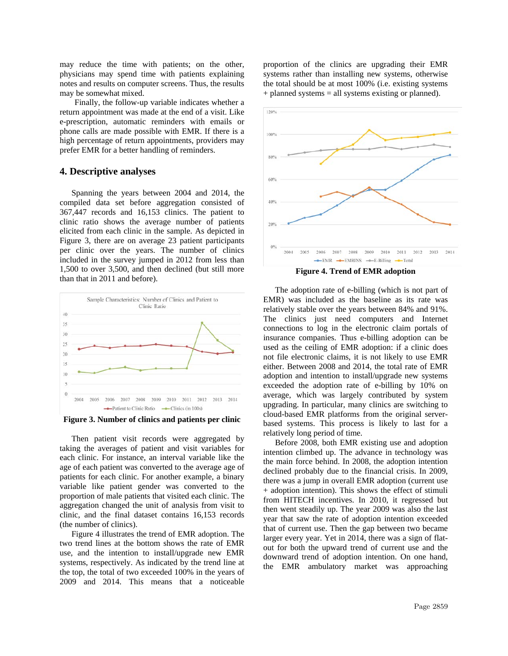may reduce the time with patients; on the other, physicians may spend time with patients explaining notes and results on computer screens. Thus, the results may be somewhat mixed.

Finally, the follow-up variable indicates whether a return appointment was made at the end of a visit. Like e-prescription, automatic reminders with emails or phone calls are made possible with EMR. If there is a high percentage of return appointments, providers may prefer EMR for a better handling of reminders.

#### **4. Descriptive analyses**

Spanning the years between 2004 and 2014, the compiled data set before aggregation consisted of 367,447 records and 16,153 clinics. The patient to clinic ratio shows the average number of patients elicited from each clinic in the sample. As depicted in Figure 3, there are on average 23 patient participants per clinic over the years. The number of clinics included in the survey jumped in 2012 from less than 1,500 to over 3,500, and then declined (but still more than that in 2011 and before).



**Figure 3. Number of clinics and patients per clinic**

Then patient visit records were aggregated by taking the averages of patient and visit variables for each clinic. For instance, an interval variable like the age of each patient was converted to the average age of patients for each clinic. For another example, a binary variable like patient gender was converted to the proportion of male patients that visited each clinic. The aggregation changed the unit of analysis from visit to clinic, and the final dataset contains 16,153 records (the number of clinics).

Figure 4 illustrates the trend of EMR adoption. The two trend lines at the bottom shows the rate of EMR use, and the intention to install/upgrade new EMR systems, respectively. As indicated by the trend line at the top, the total of two exceeded 100% in the years of 2009 and 2014. This means that a noticeable proportion of the clinics are upgrading their EMR systems rather than installing new systems, otherwise the total should be at most 100% (i.e. existing systems + planned systems = all systems existing or planned).



**Figure 4. Trend of EMR adoption**

The adoption rate of e-billing (which is not part of EMR) was included as the baseline as its rate was relatively stable over the years between 84% and 91%. The clinics just need computers and Internet connections to log in the electronic claim portals of insurance companies. Thus e-billing adoption can be used as the ceiling of EMR adoption: if a clinic does not file electronic claims, it is not likely to use EMR either. Between 2008 and 2014, the total rate of EMR adoption and intention to install/upgrade new systems exceeded the adoption rate of e-billing by 10% on average, which was largely contributed by system upgrading. In particular, many clinics are switching to cloud-based EMR platforms from the original serverbased systems. This process is likely to last for a relatively long period of time.

Before 2008, both EMR existing use and adoption intention climbed up. The advance in technology was the main force behind. In 2008, the adoption intention declined probably due to the financial crisis. In 2009, there was a jump in overall EMR adoption (current use + adoption intention). This shows the effect of stimuli from HITECH incentives. In 2010, it regressed but then went steadily up. The year 2009 was also the last year that saw the rate of adoption intention exceeded that of current use. Then the gap between two became larger every year. Yet in 2014, there was a sign of flatout for both the upward trend of current use and the downward trend of adoption intention. On one hand, the EMR ambulatory market was approaching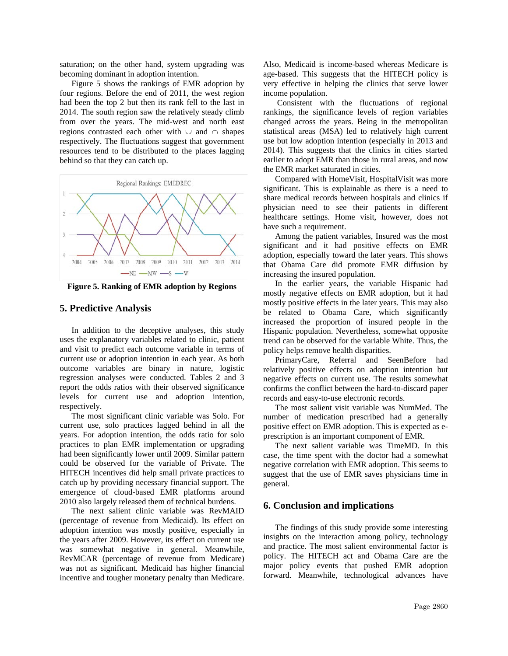saturation; on the other hand, system upgrading was becoming dominant in adoption intention.

Figure 5 shows the rankings of EMR adoption by four regions. Before the end of 2011, the west region had been the top 2 but then its rank fell to the last in 2014. The south region saw the relatively steady climb from over the years. The mid-west and north east regions contrasted each other with ∪ and ∩ shapes respectively. The fluctuations suggest that government resources tend to be distributed to the places lagging behind so that they can catch up.



**Figure 5. Ranking of EMR adoption by Regions**

#### **5. Predictive Analysis**

In addition to the deceptive analyses, this study uses the explanatory variables related to clinic, patient and visit to predict each outcome variable in terms of current use or adoption intention in each year. As both outcome variables are binary in nature, logistic regression analyses were conducted. Tables 2 and 3 report the odds ratios with their observed significance levels for current use and adoption intention, respectively.

The most significant clinic variable was Solo. For current use, solo practices lagged behind in all the years. For adoption intention, the odds ratio for solo practices to plan EMR implementation or upgrading had been significantly lower until 2009. Similar pattern could be observed for the variable of Private. The HITECH incentives did help small private practices to catch up by providing necessary financial support. The emergence of cloud-based EMR platforms around 2010 also largely released them of technical burdens.

The next salient clinic variable was RevMAID (percentage of revenue from Medicaid). Its effect on adoption intention was mostly positive, especially in the years after 2009. However, its effect on current use was somewhat negative in general. Meanwhile, RevMCAR (percentage of revenue from Medicare) was not as significant. Medicaid has higher financial incentive and tougher monetary penalty than Medicare. Also, Medicaid is income-based whereas Medicare is age-based. This suggests that the HITECH policy is very effective in helping the clinics that serve lower income population.

Consistent with the fluctuations of regional rankings, the significance levels of region variables changed across the years. Being in the metropolitan statistical areas (MSA) led to relatively high current use but low adoption intention (especially in 2013 and 2014). This suggests that the clinics in cities started earlier to adopt EMR than those in rural areas, and now the EMR market saturated in cities.

Compared with HomeVisit, HospitalVisit was more significant. This is explainable as there is a need to share medical records between hospitals and clinics if physician need to see their patients in different healthcare settings. Home visit, however, does not have such a requirement.

Among the patient variables, Insured was the most significant and it had positive effects on EMR adoption, especially toward the later years. This shows that Obama Care did promote EMR diffusion by increasing the insured population.

In the earlier years, the variable Hispanic had mostly negative effects on EMR adoption, but it had mostly positive effects in the later years. This may also be related to Obama Care, which significantly increased the proportion of insured people in the Hispanic population. Nevertheless, somewhat opposite trend can be observed for the variable White. Thus, the policy helps remove health disparities.

PrimaryCare, Referral and SeenBefore had relatively positive effects on adoption intention but negative effects on current use. The results somewhat confirms the conflict between the hard-to-discard paper records and easy-to-use electronic records.

The most salient visit variable was NumMed. The number of medication prescribed had a generally positive effect on EMR adoption. This is expected as eprescription is an important component of EMR.

The next salient variable was TimeMD. In this case, the time spent with the doctor had a somewhat negative correlation with EMR adoption. This seems to suggest that the use of EMR saves physicians time in general.

#### **6. Conclusion and implications**

The findings of this study provide some interesting insights on the interaction among policy, technology and practice. The most salient environmental factor is policy. The HITECH act and Obama Care are the major policy events that pushed EMR adoption forward. Meanwhile, technological advances have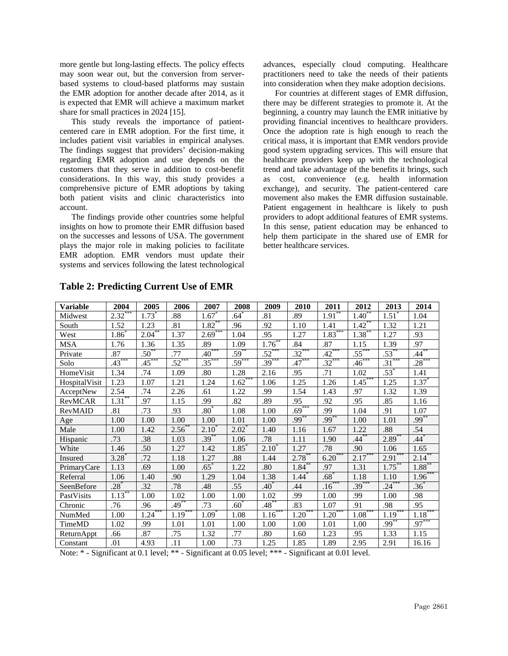more gentle but long-lasting effects. The policy effects may soon wear out, but the conversion from serverbased systems to cloud-based platforms may sustain the EMR adoption for another decade after 2014, as it is expected that EMR will achieve a maximum market share for small practices in 2024 [15].

This study reveals the importance of patientcentered care in EMR adoption. For the first time, it includes patient visit variables in empirical analyses. The findings suggest that providers' decision-making regarding EMR adoption and use depends on the customers that they serve in addition to cost-benefit considerations. In this way, this study provides a comprehensive picture of EMR adoptions by taking both patient visits and clinic characteristics into account.

The findings provide other countries some helpful insights on how to promote their EMR diffusion based on the successes and lessons of USA. The government plays the major role in making policies to facilitate EMR adoption. EMR vendors must update their systems and services following the latest technological advances, especially cloud computing. Healthcare practitioners need to take the needs of their patients into consideration when they make adoption decisions.

For countries at different stages of EMR diffusion, there may be different strategies to promote it. At the beginning, a country may launch the EMR initiative by providing financial incentives to healthcare providers. Once the adoption rate is high enough to reach the critical mass, it is important that EMR vendors provide good system upgrading services. This will ensure that healthcare providers keep up with the technological trend and take advantage of the benefits it brings, such as cost, convenience (e.g. health information exchange), and security. The patient-centered care movement also makes the EMR diffusion sustainable. Patient engagement in healthcare is likely to push providers to adopt additional features of EMR systems. In this sense, patient education may be enhanced to help them participate in the shared use of EMR for better healthcare services.

| <b>Variable</b> | 2004            | 2005                            | 2006      | 2007       | 2008            | 2009                  | 2010      | 2011      | 2012      | 2013                | 2014      |
|-----------------|-----------------|---------------------------------|-----------|------------|-----------------|-----------------------|-----------|-----------|-----------|---------------------|-----------|
| Midwest         | $2.32***$       | $1.73*$                         | .88       | 1.67       | .64 $\degree$   | .81                   | .89       | $1.91**$  | $1.40**$  | $1.51$ <sup>*</sup> | 1.04      |
| South           | 1.52            | 1.23                            | .81       | $1.82***$  | .96             | .92                   | 1.10      | 1.41      | 1.42      | 1.32                | 1.21      |
| West            | 1.86            | 2.04                            | 1.37      | $2.69***$  | 1.04            | .95                   | 1.27      | $1.83***$ | $1.38***$ | 1.27                | .93       |
| <b>MSA</b>      | 1.76            | 1.36                            | 1.35      | .89        | 1.09            | $1.76$ **             | .84       | .87       | 1.15      | 1.39                | .97       |
| Private         | .87             | $.50^{*}$                       | .77       | $.40***$   | $.59***$        | $.52***$              | $.32***$  | $.42***$  | $.55***$  | $.53***$            | $.44***$  |
| Solo            | $.43***$        | $.45***$                        | $.52***$  | $.35***$   | $.59***$        | $.39***$              | $.47***$  | $.32***$  | $.46***$  | $.31***$            | $.28***$  |
| HomeVisit       | 1.34            | .74                             | 1.09      | .80        | 1.28            | 2.16                  | .95       | .71       | 1.02      | $.53*$              | 1.41      |
| HospitalVisit   | 1.23            | 1.07                            | 1.21      | 1.24       | $1.62***$       | 1.06                  | 1.25      | 1.26      | $1.45***$ | 1.25                | $1.37*$   |
| AcceptNew       | 2.54            | .74                             | 2.26      | .61        | 1.22            | .99                   | 1.54      | 1.43      | .97       | 1.32                | 1.39      |
| RevMCAR         | 1.31            | .97                             | 1.15      | .99        | .82             | .89                   | .95       | .92       | .95       | .85                 | 1.16      |
| RevMAID         | .81             | .73                             | .93       | $.80^*$    | 1.08            | 1.00                  | $.69***$  | .99       | 1.04      | .91                 | 1.07      |
| Age             | 1.00            | 1.00                            | 1.00      | 1.00       | 1.01            | 1.00                  | $.99***$  | $.99***$  | 1.00      | 1.01                | .99**     |
| Male            | 1.00            | 1.42                            | $2.56$ ** | $2.10^{*}$ | $2.02^*$        | 1.40                  | 1.16      | 1.67      | 1.22      | .88                 | .54       |
| Hispanic        | .73             | .38                             | 1.03      | $.39***$   | 1.06            | .78                   | 1.11      | 1.90      | $.44***$  | $2.89***$           | $.44$ $*$ |
| White           | 1.46            | .50                             | 1.27      | 1.42       | $1.85^*$        | $2.10^*$              | 1.27      | .78       | .90       | 1.06                | 1.65      |
| Insured         | $3.28^{*}$      | .72                             | 1.18      | 1.27       | .88             | 1.44                  | $2.78$ ** | $6.20***$ | $2.17***$ | ***<br>2.91         | $2.14***$ |
| PrimaryCare     | 1.13            | .69                             | 1.00      | $.65*$     | 1.22            | .80                   | $1.84***$ | .97       | 1.31      | $1.75***$           | $1.88***$ |
| Referral        | 1.06            | 1.40                            | .90       | 1.29       | 1.04            | 1.38                  | $1.44*$   | $.68*$    | 1.18      | 1.10                | $1.96***$ |
| SeenBefore      | $.28^{\degree}$ | .32                             | .78       | .48        | .55             | $.40*$                | .44       | $.16***$  | $.39***$  | $.24***$            | $.36^*$   |
| PastVisits      | $1.13***$       | 1.00                            | 1.02      | 1.00       | 1.00            | 1.02                  | .99       | 1.00      | .99       | 1.00                | .98       |
| Chronic         | .76             | .96                             | $.49^*$   | .73        | $.60^{\degree}$ | $.48*$                | .83       | 1.07      | .91       | .98                 | .95       |
| NumMed          | 1.00            | $\frac{1.24^{***}}{1.24^{***}}$ | $1.19***$ | 1.09       | 1.08            | $\frac{1.16^{***}}{}$ | $1.20***$ | $1.20***$ | $1.08***$ | $1.19***$           | $1.18***$ |
| TimeMD          | 1.02            | .99                             | 1.01      | 1.01       | 1.00            | 1.00                  | 1.00      | 1.01      | 1.00      | $.99***$            | $.97***$  |
| ReturnAppt      | .66             | .87                             | .75       | 1.32       | .77             | .80                   | 1.60      | 1.23      | .95       | 1.33                | 1.15      |
| Constant        | .01             | 4.93                            | .11       | 1.00       | .73             | 1.25                  | 1.85      | 1.89      | 2.95      | 2.91                | 16.16     |

**Table 2: Predicting Current Use of EMR**

Note: \* - Significant at 0.1 level; \*\* - Significant at 0.05 level; \*\*\* - Significant at 0.01 level.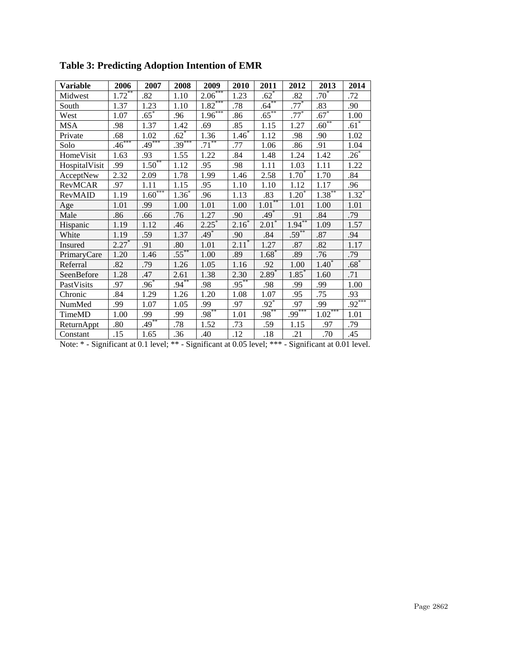| <b>Variable</b> | 2006                  | 2007      | 2008     | 2009      | 2010         | 2011      | 2012                  | 2013      | 2014       |
|-----------------|-----------------------|-----------|----------|-----------|--------------|-----------|-----------------------|-----------|------------|
| Midwest         | $1.72**$              | .82       | 1.10     | $2.06***$ | 1.23         | $.62*$    | .82                   | $.70^*$   | .72        |
| South           | 1.37                  | 1.23      | 1.10     | $1.82***$ | .78          | $.64***$  | $.77*$                | .83       | .90        |
| West            | 1.07                  | $.65*$    | .96      | $1.96***$ | .86          | $.65***$  | $.77*$                | $.67*$    | 1.00       |
| <b>MSA</b>      | .98                   | 1.37      | 1.42     | .69       | .85          | 1.15      | 1.27                  | $.60***$  | $.61*$     |
| Private         | .68                   | 1.02      | $.62*$   | 1.36      | $1.46*$      | 1.12      | .98                   | .90       | 1.02       |
| Solo            | $.46***$              | $.49***$  | $.39***$ | $.71***$  | .77          | 1.06      | .86                   | .91       | 1.04       |
| HomeVisit       | 1.63                  | .93       | 1.55     | 1.22      | .84          | 1.48      | 1.24                  | 1.42      | $.26*$     |
| HospitalVisit   | .99                   | $1.50**$  | 1.12     | .95       | .98          | 1.11      | 1.03                  | 1.11      | 1.22       |
| AcceptNew       | 2.32                  | 2.09      | 1.78     | 1.99      | 1.46         | 2.58      | $\frac{1.70^{*}}{2}$  | 1.70      | .84        |
| RevMCAR         | .97                   | 1.11      | 1.15     | .95       | 1.10         | 1.10      | 1.12                  | 1.17      | .96        |
| RevMAID         | 1.19                  | $1.60***$ | $1.36*$  | .96       | 1.13         | .83       | $1.20^{*}$            | $1.38***$ | $1.32^{*}$ |
| Age             | 1.01                  | .99       | 1.00     | 1.01      | 1.00         | $1.01***$ | 1.01                  | 1.00      | 1.01       |
| Male            | .86                   | .66       | .76      | 1.27      | .90          | $.49*$    | .91                   | .84       | .79        |
| Hispanic        | 1.19                  | 1.12      | .46      | $2.25^*$  | $2.16*$      | $2.01*$   | $1.94***$             | 1.09      | 1.57       |
| White           | 1.19                  | .59       | 1.37     | $.49*$    | .90          | .84       | $.59***$              | .87       | .94        |
| Insured         | $2.27*$               | .91       | .80      | 1.01      | $2.11*$      | 1.27      | .87                   | .82       | 1.17       |
| PrimaryCare     | 1.20                  | 1.46      | $.55***$ | 1.00      | .89          | $1.68*$   | .89                   | .76       | .79        |
| Referral        | .82                   | .79       | 1.26     | 1.05      | 1.16         | .92       | 1.00                  | $1.40*$   | $.68*$     |
| SeenBefore      | 1.28                  | .47       | 2.61     | 1.38      | 2.30         | $2.89*$   | $1.85*$               | 1.60      | .71        |
| PastVisits      | .97                   | $.96^*$   | $.94***$ | .98       | $.95***$     | .98       | .99                   | .99       | 1.00       |
| Chronic         | .84                   | 1.29      | 1.26     | 1.20      | 1.08         | 1.07      | .95                   | .75       | .93        |
| NumMed          | .99                   | 1.07      | 1.05     | .99       | .97          | $.92*$    | .97                   | .99       | $.92***$   |
| TimeMD          | 1.00                  | .99       | .99      | $.98***$  | 1.01         | $.98***$  | $.99***$              | $1.02***$ | 1.01       |
| ReturnAppt      | .80                   | $.49***$  | .78      | 1.52      | .73          | .59       | 1.15                  | .97       | .79        |
| Constant        | .15<br>$\cdot$ $\sim$ | 1.65      | .36      | .40       | .12<br>0.071 | .18       | .21<br>$\cdot$ $\sim$ | .70       | .45        |

**Table 3: Predicting Adoption Intention of EMR**

Note: \* - Significant at 0.1 level; \*\* - Significant at 0.05 level; \*\*\* - Significant at 0.01 level.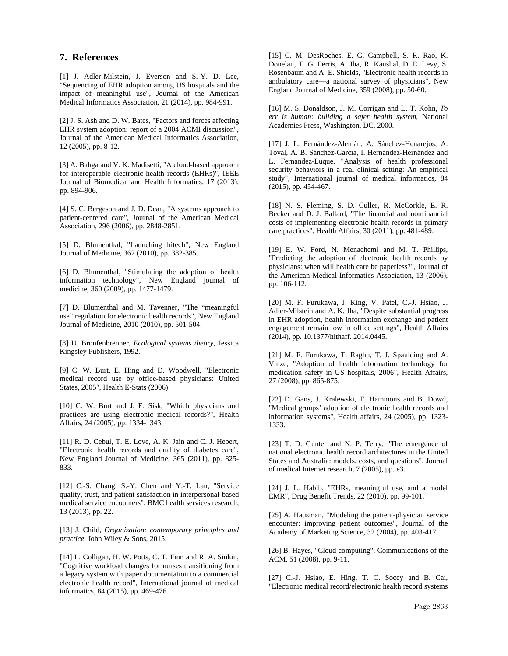#### **7. References**

[1] J. Adler-Milstein, J. Everson and S.-Y. D. Lee, "Sequencing of EHR adoption among US hospitals and the impact of meaningful use", Journal of the American Medical Informatics Association, 21 (2014), pp. 984-991.

[2] J. S. Ash and D. W. Bates, "Factors and forces affecting EHR system adoption: report of a 2004 ACMI discussion", Journal of the American Medical Informatics Association, 12 (2005), pp. 8-12.

[3] A. Bahga and V. K. Madisetti, "A cloud-based approach for interoperable electronic health records (EHRs)", IEEE Journal of Biomedical and Health Informatics, 17 (2013), pp. 894-906.

[4] S. C. Bergeson and J. D. Dean, "A systems approach to patient-centered care", Journal of the American Medical Association, 296 (2006), pp. 2848-2851.

[5] D. Blumenthal, "Launching hitech", New England Journal of Medicine, 362 (2010), pp. 382-385.

[6] D. Blumenthal, "Stimulating the adoption of health information technology", New England journal of medicine, 360 (2009), pp. 1477-1479.

[7] D. Blumenthal and M. Tavenner, "The "meaningful use" regulation for electronic health records", New England Journal of Medicine, 2010 (2010), pp. 501-504.

[8] U. Bronfenbrenner, *Ecological systems theory*, Jessica Kingsley Publishers, 1992.

[9] C. W. Burt, E. Hing and D. Woodwell, "Electronic medical record use by office-based physicians: United States, 2005", Health E-Stats (2006).

[10] C. W. Burt and J. E. Sisk, "Which physicians and practices are using electronic medical records?", Health Affairs, 24 (2005), pp. 1334-1343.

[11] R. D. Cebul, T. E. Love, A. K. Jain and C. J. Hebert, "Electronic health records and quality of diabetes care", New England Journal of Medicine, 365 (2011), pp. 825- 833.

[12] C.-S. Chang, S.-Y. Chen and Y.-T. Lan, "Service quality, trust, and patient satisfaction in interpersonal-based medical service encounters", BMC health services research, 13 (2013), pp. 22.

[13] J. Child, *Organization: contemporary principles and practice*, John Wiley & Sons, 2015.

[14] L. Colligan, H. W. Potts, C. T. Finn and R. A. Sinkin, "Cognitive workload changes for nurses transitioning from a legacy system with paper documentation to a commercial electronic health record", International journal of medical informatics, 84 (2015), pp. 469-476.

[15] C. M. DesRoches, E. G. Campbell, S. R. Rao, K. Donelan, T. G. Ferris, A. Jha, R. Kaushal, D. E. Levy, S. Rosenbaum and A. E. Shields, "Electronic health records in ambulatory care—a national survey of physicians", New England Journal of Medicine, 359 (2008), pp. 50-60.

[16] M. S. Donaldson, J. M. Corrigan and L. T. Kohn, *To err is human: building a safer health system*, National Academies Press, Washington, DC, 2000.

[17] J. L. Fernández-Alemán, A. Sánchez-Henarejos, A. Toval, A. B. Sánchez-García, I. Hernández-Hernández and L. Fernandez-Luque, "Analysis of health professional security behaviors in a real clinical setting: An empirical study", International journal of medical informatics, 84 (2015), pp. 454-467.

[18] N. S. Fleming, S. D. Culler, R. McCorkle, E. R. Becker and D. J. Ballard, "The financial and nonfinancial costs of implementing electronic health records in primary care practices", Health Affairs, 30 (2011), pp. 481-489.

[19] E. W. Ford, N. Menachemi and M. T. Phillips, "Predicting the adoption of electronic health records by physicians: when will health care be paperless?", Journal of the American Medical Informatics Association, 13 (2006), pp. 106-112.

[20] M. F. Furukawa, J. King, V. Patel, C.-J. Hsiao, J. Adler-Milstein and A. K. Jha, "Despite substantial progress in EHR adoption, health information exchange and patient engagement remain low in office settings", Health Affairs (2014), pp. 10.1377/hlthaff. 2014.0445.

[21] M. F. Furukawa, T. Raghu, T. J. Spaulding and A. Vinze, "Adoption of health information technology for medication safety in US hospitals, 2006", Health Affairs, 27 (2008), pp. 865-875.

[22] D. Gans, J. Kralewski, T. Hammons and B. Dowd, "Medical groups' adoption of electronic health records and information systems", Health affairs, 24 (2005), pp. 1323- 1333.

[23] T. D. Gunter and N. P. Terry, "The emergence of national electronic health record architectures in the United States and Australia: models, costs, and questions", Journal of medical Internet research, 7 (2005), pp. e3.

[24] J. L. Habib, "EHRs, meaningful use, and a model EMR", Drug Benefit Trends, 22 (2010), pp. 99-101.

[25] A. Hausman, "Modeling the patient-physician service encounter: improving patient outcomes", Journal of the Academy of Marketing Science, 32 (2004), pp. 403-417.

[26] B. Hayes, "Cloud computing", Communications of the ACM, 51 (2008), pp. 9-11.

[27] C.-J. Hsiao, E. Hing, T. C. Socey and B. Cai, "Electronic medical record/electronic health record systems